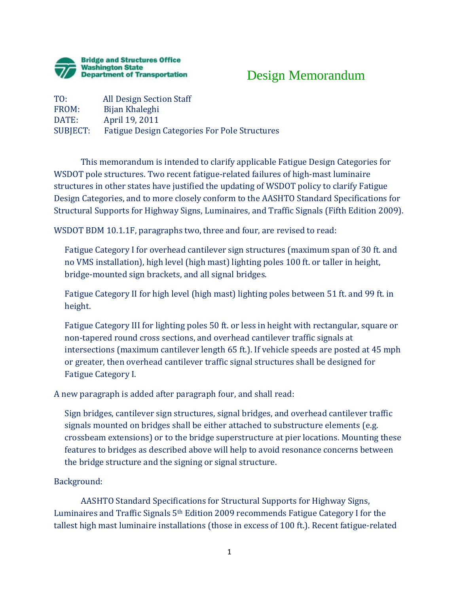

## Design Memorandum

TO: All Design Section Staff<br>FROM: Bijan Khaleghi FROM: Bijan Khaleghi<br>DATE: April 19, 2011 DATE: April 19, 2011<br>SUBIECT: Fatigue Design Fatigue Design Categories For Pole Structures

This memorandum is intended to clarify applicable Fatigue Design Categories for WSDOT pole structures. Two recent fatigue-related failures of high-mast luminaire structures in other states have justified the updating of WSDOT policy to clarify Fatigue Design Categories, and to more closely conform to the AASHTO Standard Specifications for Structural Supports for Highway Signs, Luminaires, and Traffic Signals (Fifth Edition 2009).

WSDOT BDM 10.1.1F, paragraphs two, three and four, are revised to read:

Fatigue Category I for overhead cantilever sign structures (maximum span of 30 ft. and no VMS installation), high level (high mast) lighting poles 100 ft. or taller in height, bridge-mounted sign brackets, and all signal bridges.

Fatigue Category II for high level (high mast) lighting poles between 51 ft. and 99 ft. in height.

Fatigue Category III for lighting poles 50 ft. or less in height with rectangular, square or non-tapered round cross sections, and overhead cantilever traffic signals at intersections (maximum cantilever length 65 ft.). If vehicle speeds are posted at 45 mph or greater, then overhead cantilever traffic signal structures shall be designed for Fatigue Category I.

A new paragraph is added after paragraph four, and shall read:

Sign bridges, cantilever sign structures, signal bridges, and overhead cantilever traffic signals mounted on bridges shall be either attached to substructure elements (e.g. crossbeam extensions) or to the bridge superstructure at pier locations. Mounting these features to bridges as described above will help to avoid resonance concerns between the bridge structure and the signing or signal structure.

Background:

AASHTO Standard Specifications for Structural Supports for Highway Signs, Luminaires and Traffic Signals 5th Edition 2009 recommends Fatigue Category I for the tallest high mast luminaire installations (those in excess of 100 ft.). Recent fatigue-related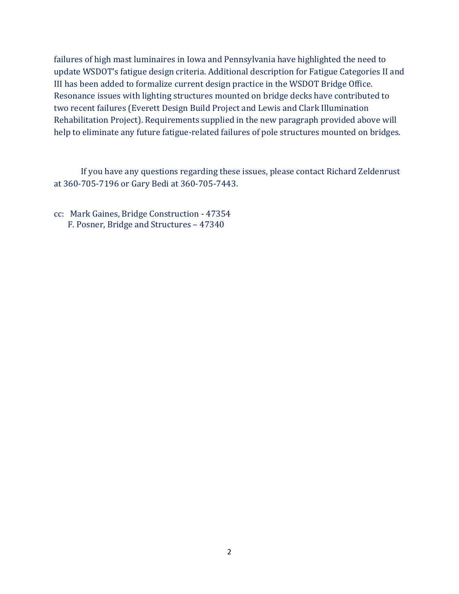failures of high mast luminaires in Iowa and Pennsylvania have highlighted the need to update WSDOT's fatigue design criteria. Additional description for Fatigue Categories II and III has been added to formalize current design practice in the WSDOT Bridge Office. Resonance issues with lighting structures mounted on bridge decks have contributed to two recent failures (Everett Design Build Project and Lewis and Clark Illumination Rehabilitation Project). Requirements supplied in the new paragraph provided above will help to eliminate any future fatigue-related failures of pole structures mounted on bridges.

 If you have any questions regarding these issues, please contact Richard Zeldenrust at 360-705-7196 or Gary Bedi at 360-705-7443.

cc: Mark Gaines, Bridge Construction - 47354 F. Posner, Bridge and Structures – 47340